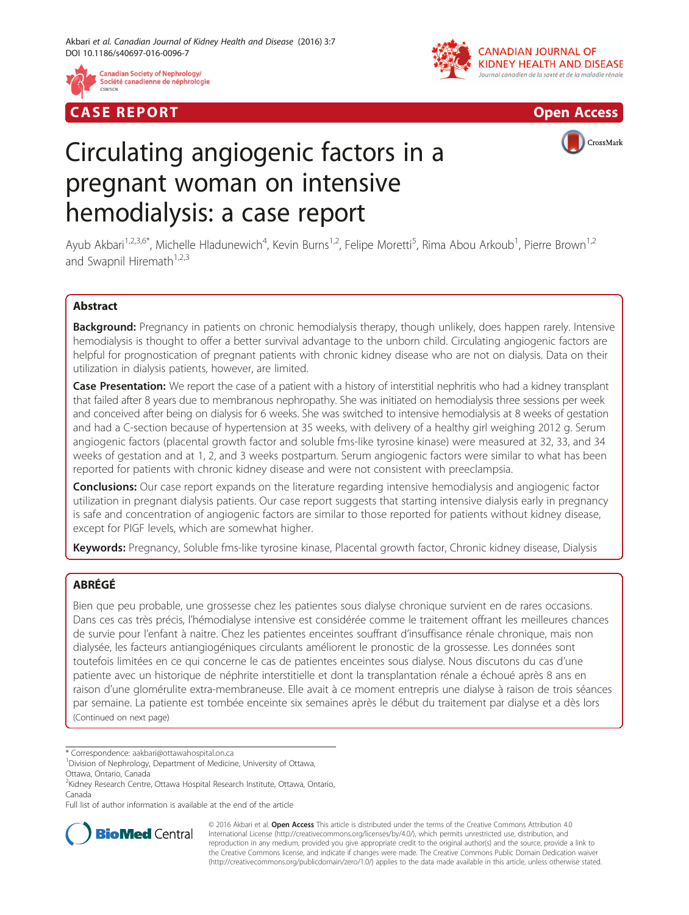

## **CASE REPORT CASE REPORT CASE REPORT**





# Circulating angiogenic factors in a pregnant woman on intensive hemodialysis: a case report

Ayub Akbari<sup>1,2,3,6\*</sup>, Michelle Hladunewich<sup>4</sup>, Kevin Burns<sup>1,2</sup>, Felipe Moretti<sup>5</sup>, Rima Abou Arkoub<sup>1</sup>, Pierre Brown<sup>1,2</sup> and Swapnil Hiremath $1,2,3$ 

## Abstract

Background: Pregnancy in patients on chronic hemodialysis therapy, though unlikely, does happen rarely. Intensive hemodialysis is thought to offer a better survival advantage to the unborn child. Circulating angiogenic factors are helpful for prognostication of pregnant patients with chronic kidney disease who are not on dialysis. Data on their utilization in dialysis patients, however, are limited.

Case Presentation: We report the case of a patient with a history of interstitial nephritis who had a kidney transplant that failed after 8 years due to membranous nephropathy. She was initiated on hemodialysis three sessions per week and conceived after being on dialysis for 6 weeks. She was switched to intensive hemodialysis at 8 weeks of gestation and had a C-section because of hypertension at 35 weeks, with delivery of a healthy girl weighing 2012 g. Serum angiogenic factors (placental growth factor and soluble fms-like tyrosine kinase) were measured at 32, 33, and 34 weeks of gestation and at 1, 2, and 3 weeks postpartum. Serum angiogenic factors were similar to what has been reported for patients with chronic kidney disease and were not consistent with preeclampsia.

**Conclusions:** Our case report expands on the literature regarding intensive hemodialysis and angiogenic factor utilization in pregnant dialysis patients. Our case report suggests that starting intensive dialysis early in pregnancy is safe and concentration of angiogenic factors are similar to those reported for patients without kidney disease, except for PIGF levels, which are somewhat higher.

Keywords: Pregnancy, Soluble fms-like tyrosine kinase, Placental growth factor, Chronic kidney disease, Dialysis

## ABRÉGÉ

Bien que peu probable, une grossesse chez les patientes sous dialyse chronique survient en de rares occasions. Dans ces cas très précis, l'hémodialyse intensive est considérée comme le traitement offrant les meilleures chances de survie pour l'enfant à naitre. Chez les patientes enceintes souffrant d'insuffisance rénale chronique, mais non dialysée, les facteurs antiangiogéniques circulants améliorent le pronostic de la grossesse. Les données sont toutefois limitées en ce qui concerne le cas de patientes enceintes sous dialyse. Nous discutons du cas d'une patiente avec un historique de néphrite interstitielle et dont la transplantation rénale a échoué après 8 ans en raison d'une glomérulite extra-membraneuse. Elle avait à ce moment entrepris une dialyse à raison de trois séances par semaine. La patiente est tombée enceinte six semaines après le début du traitement par dialyse et a dès lors (Continued on next page)

\* Correspondence: [aakbari@ottawahospital.on.ca](mailto:aakbari@ottawahospital.on.ca) <sup>1</sup>

Ottawa, Ontario, Canada

Full list of author information is available at the end of the article



© 2016 Akbari et al. Open Access This article is distributed under the terms of the Creative Commons Attribution 4.0 International License [\(http://creativecommons.org/licenses/by/4.0/](http://creativecommons.org/licenses/by/4.0/)), which permits unrestricted use, distribution, and reproduction in any medium, provided you give appropriate credit to the original author(s) and the source, provide a link to the Creative Commons license, and indicate if changes were made. The Creative Commons Public Domain Dedication waiver [\(http://creativecommons.org/publicdomain/zero/1.0/](http://creativecommons.org/publicdomain/zero/1.0/)) applies to the data made available in this article, unless otherwise stated.

<sup>&</sup>lt;sup>1</sup> Division of Nephrology, Department of Medicine, University of Ottawa,

<sup>&</sup>lt;sup>2</sup>Kidney Research Centre, Ottawa Hospital Research Institute, Ottawa, Ontario, Canada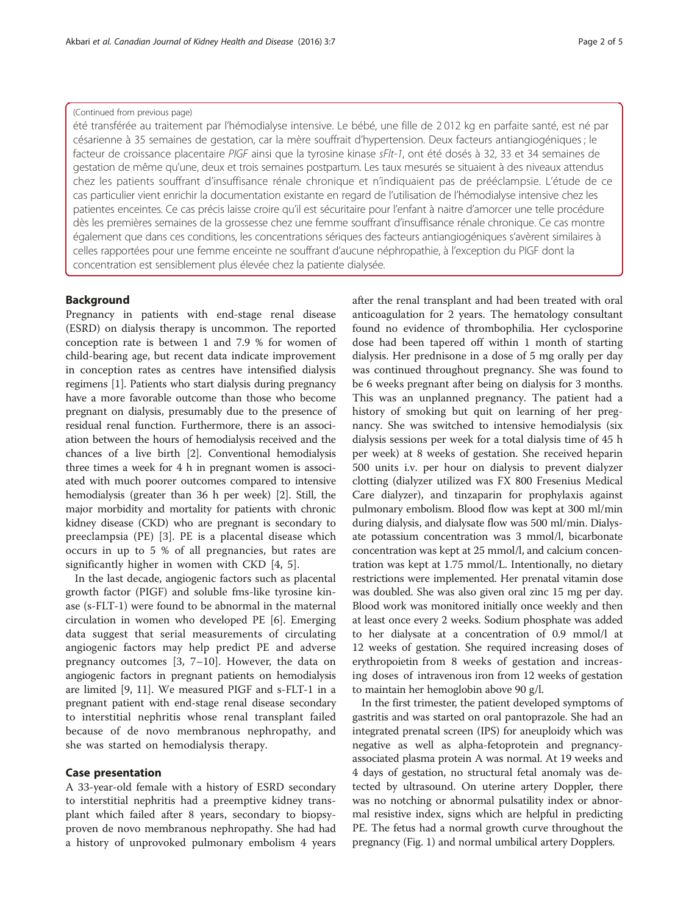#### (Continued from previous page)

été transférée au traitement par l'hémodialyse intensive. Le bébé, une fille de 2 012 kg en parfaite santé, est né par césarienne à 35 semaines de gestation, car la mère souffrait d'hypertension. Deux facteurs antiangiogéniques ; le facteur de croissance placentaire PIGF ainsi que la tyrosine kinase sFlt-1, ont été dosés à 32, 33 et 34 semaines de gestation de même qu'une, deux et trois semaines postpartum. Les taux mesurés se situaient à des niveaux attendus chez les patients souffrant d'insuffisance rénale chronique et n'indiquaient pas de prééclampsie. L'étude de ce cas particulier vient enrichir la documentation existante en regard de l'utilisation de l'hémodialyse intensive chez les patientes enceintes. Ce cas précis laisse croire qu'il est sécuritaire pour l'enfant à naitre d'amorcer une telle procédure dès les premières semaines de la grossesse chez une femme souffrant d'insuffisance rénale chronique. Ce cas montre également que dans ces conditions, les concentrations sériques des facteurs antiangiogéniques s'avèrent similaires à celles rapportées pour une femme enceinte ne souffrant d'aucune néphropathie, à l'exception du PIGF dont la concentration est sensiblement plus élevée chez la patiente dialysée.

### Background

Pregnancy in patients with end-stage renal disease (ESRD) on dialysis therapy is uncommon. The reported conception rate is between 1 and 7.9 % for women of child-bearing age, but recent data indicate improvement in conception rates as centres have intensified dialysis regimens [\[1](#page-4-0)]. Patients who start dialysis during pregnancy have a more favorable outcome than those who become pregnant on dialysis, presumably due to the presence of residual renal function. Furthermore, there is an association between the hours of hemodialysis received and the chances of a live birth [\[2](#page-4-0)]. Conventional hemodialysis three times a week for 4 h in pregnant women is associated with much poorer outcomes compared to intensive hemodialysis (greater than 36 h per week) [[2\]](#page-4-0). Still, the major morbidity and mortality for patients with chronic kidney disease (CKD) who are pregnant is secondary to preeclampsia (PE) [[3\]](#page-4-0). PE is a placental disease which occurs in up to 5 % of all pregnancies, but rates are significantly higher in women with CKD [\[4](#page-4-0), [5\]](#page-4-0).

In the last decade, angiogenic factors such as placental growth factor (PIGF) and soluble fms-like tyrosine kinase (s-FLT-1) were found to be abnormal in the maternal circulation in women who developed PE [[6\]](#page-4-0). Emerging data suggest that serial measurements of circulating angiogenic factors may help predict PE and adverse pregnancy outcomes [[3, 7](#page-4-0)–[10\]](#page-4-0). However, the data on angiogenic factors in pregnant patients on hemodialysis are limited [\[9](#page-4-0), [11\]](#page-4-0). We measured PIGF and s-FLT-1 in a pregnant patient with end-stage renal disease secondary to interstitial nephritis whose renal transplant failed because of de novo membranous nephropathy, and she was started on hemodialysis therapy.

#### Case presentation

A 33-year-old female with a history of ESRD secondary to interstitial nephritis had a preemptive kidney transplant which failed after 8 years, secondary to biopsyproven de novo membranous nephropathy. She had had a history of unprovoked pulmonary embolism 4 years after the renal transplant and had been treated with oral anticoagulation for 2 years. The hematology consultant found no evidence of thrombophilia. Her cyclosporine dose had been tapered off within 1 month of starting dialysis. Her prednisone in a dose of 5 mg orally per day was continued throughout pregnancy. She was found to be 6 weeks pregnant after being on dialysis for 3 months. This was an unplanned pregnancy. The patient had a history of smoking but quit on learning of her pregnancy. She was switched to intensive hemodialysis (six dialysis sessions per week for a total dialysis time of 45 h per week) at 8 weeks of gestation. She received heparin 500 units i.v. per hour on dialysis to prevent dialyzer clotting (dialyzer utilized was FX 800 Fresenius Medical Care dialyzer), and tinzaparin for prophylaxis against pulmonary embolism. Blood flow was kept at 300 ml/min during dialysis, and dialysate flow was 500 ml/min. Dialysate potassium concentration was 3 mmol/l, bicarbonate concentration was kept at 25 mmol/l, and calcium concentration was kept at 1.75 mmol/L. Intentionally, no dietary restrictions were implemented. Her prenatal vitamin dose was doubled. She was also given oral zinc 15 mg per day. Blood work was monitored initially once weekly and then at least once every 2 weeks. Sodium phosphate was added to her dialysate at a concentration of 0.9 mmol/l at 12 weeks of gestation. She required increasing doses of erythropoietin from 8 weeks of gestation and increasing doses of intravenous iron from 12 weeks of gestation to maintain her hemoglobin above 90 g/l.

In the first trimester, the patient developed symptoms of gastritis and was started on oral pantoprazole. She had an integrated prenatal screen (IPS) for aneuploidy which was negative as well as alpha-fetoprotein and pregnancyassociated plasma protein A was normal. At 19 weeks and 4 days of gestation, no structural fetal anomaly was detected by ultrasound. On uterine artery Doppler, there was no notching or abnormal pulsatility index or abnormal resistive index, signs which are helpful in predicting PE. The fetus had a normal growth curve throughout the pregnancy (Fig. [1](#page-2-0)) and normal umbilical artery Dopplers.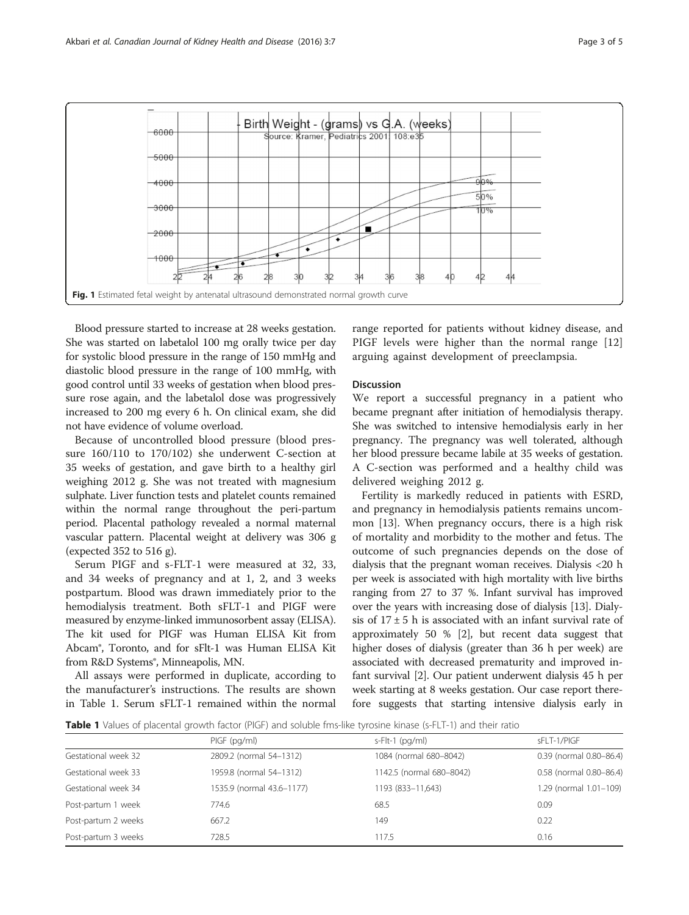<span id="page-2-0"></span>

Blood pressure started to increase at 28 weeks gestation. She was started on labetalol 100 mg orally twice per day for systolic blood pressure in the range of 150 mmHg and diastolic blood pressure in the range of 100 mmHg, with good control until 33 weeks of gestation when blood pressure rose again, and the labetalol dose was progressively increased to 200 mg every 6 h. On clinical exam, she did not have evidence of volume overload.

Because of uncontrolled blood pressure (blood pressure 160/110 to 170/102) she underwent C-section at 35 weeks of gestation, and gave birth to a healthy girl weighing 2012 g. She was not treated with magnesium sulphate. Liver function tests and platelet counts remained within the normal range throughout the peri-partum period. Placental pathology revealed a normal maternal vascular pattern. Placental weight at delivery was 306 g (expected 352 to 516 g).

Serum PIGF and s-FLT-1 were measured at 32, 33, and 34 weeks of pregnancy and at 1, 2, and 3 weeks postpartum. Blood was drawn immediately prior to the hemodialysis treatment. Both sFLT-1 and PIGF were measured by enzyme-linked immunosorbent assay (ELISA). The kit used for PIGF was Human ELISA Kit from Abcam®, Toronto, and for sFlt-1 was Human ELISA Kit from R&D Systems<sup>®</sup>, Minneapolis, MN.

All assays were performed in duplicate, according to the manufacturer's instructions. The results are shown in Table 1. Serum sFLT-1 remained within the normal range reported for patients without kidney disease, and PIGF levels were higher than the normal range [\[12](#page-4-0)] arguing against development of preeclampsia.

### Discussion

We report a successful pregnancy in a patient who became pregnant after initiation of hemodialysis therapy. She was switched to intensive hemodialysis early in her pregnancy. The pregnancy was well tolerated, although her blood pressure became labile at 35 weeks of gestation. A C-section was performed and a healthy child was delivered weighing 2012 g.

Fertility is markedly reduced in patients with ESRD, and pregnancy in hemodialysis patients remains uncommon [[13](#page-4-0)]. When pregnancy occurs, there is a high risk of mortality and morbidity to the mother and fetus. The outcome of such pregnancies depends on the dose of dialysis that the pregnant woman receives. Dialysis <20 h per week is associated with high mortality with live births ranging from 27 to 37 %. Infant survival has improved over the years with increasing dose of dialysis [\[13\]](#page-4-0). Dialysis of  $17 \pm 5$  h is associated with an infant survival rate of approximately 50 % [[2\]](#page-4-0), but recent data suggest that higher doses of dialysis (greater than 36 h per week) are associated with decreased prematurity and improved infant survival [\[2\]](#page-4-0). Our patient underwent dialysis 45 h per week starting at 8 weeks gestation. Our case report therefore suggests that starting intensive dialysis early in

Table 1 Values of placental growth factor (PIGF) and soluble fms-like tyrosine kinase (s-FLT-1) and their ratio

|                     | PIGF (pg/ml)              | $s$ -Flt-1 (pg/ml)       | sFLT-1/PIGF             |
|---------------------|---------------------------|--------------------------|-------------------------|
| Gestational week 32 | 2809.2 (normal 54-1312)   | 1084 (normal 680-8042)   | 0.39 (normal 0.80-86.4) |
| Gestational week 33 | 1959.8 (normal 54-1312)   | 1142.5 (normal 680-8042) | 0.58 (normal 0.80-86.4) |
| Gestational week 34 | 1535.9 (normal 43.6-1177) | 1193 (833-11,643)        | 1.29 (normal 1.01-109)  |
| Post-partum 1 week  | 774.6                     | 68.5                     | 0.09                    |
| Post-partum 2 weeks | 667.2                     | 149                      | 0.22                    |
| Post-partum 3 weeks | 728.5                     | 117.5                    | 0.16                    |
|                     |                           |                          |                         |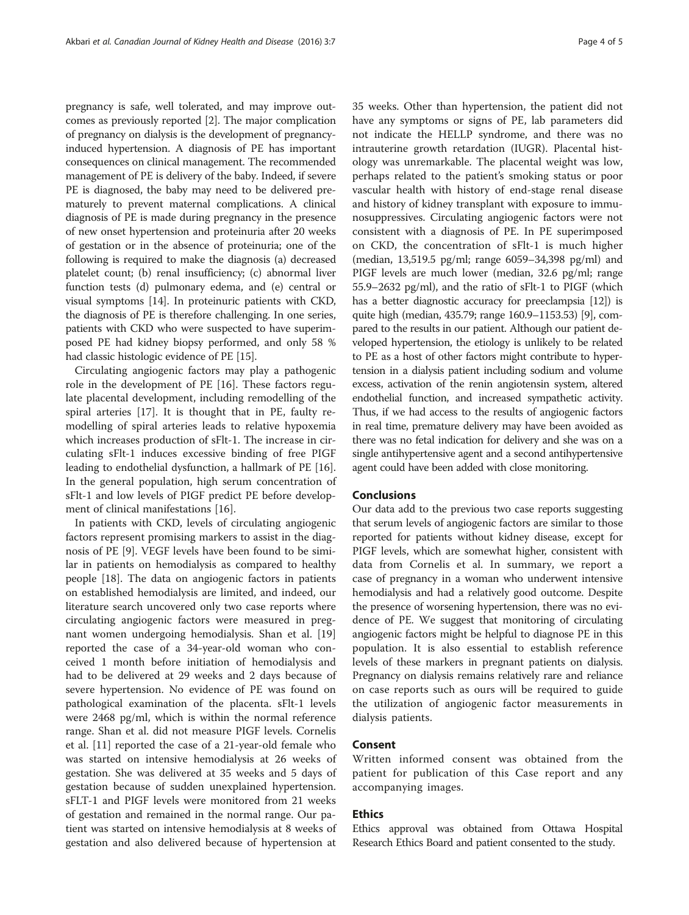pregnancy is safe, well tolerated, and may improve outcomes as previously reported [\[2](#page-4-0)]. The major complication of pregnancy on dialysis is the development of pregnancyinduced hypertension. A diagnosis of PE has important consequences on clinical management. The recommended management of PE is delivery of the baby. Indeed, if severe PE is diagnosed, the baby may need to be delivered prematurely to prevent maternal complications. A clinical diagnosis of PE is made during pregnancy in the presence of new onset hypertension and proteinuria after 20 weeks of gestation or in the absence of proteinuria; one of the following is required to make the diagnosis (a) decreased platelet count; (b) renal insufficiency; (c) abnormal liver function tests (d) pulmonary edema, and (e) central or visual symptoms [[14](#page-4-0)]. In proteinuric patients with CKD, the diagnosis of PE is therefore challenging. In one series, patients with CKD who were suspected to have superimposed PE had kidney biopsy performed, and only 58 % had classic histologic evidence of PE [\[15\]](#page-4-0).

Circulating angiogenic factors may play a pathogenic role in the development of PE [[16\]](#page-4-0). These factors regulate placental development, including remodelling of the spiral arteries [\[17](#page-4-0)]. It is thought that in PE, faulty remodelling of spiral arteries leads to relative hypoxemia which increases production of sFlt-1. The increase in circulating sFlt-1 induces excessive binding of free PIGF leading to endothelial dysfunction, a hallmark of PE [\[16](#page-4-0)]. In the general population, high serum concentration of sFlt-1 and low levels of PIGF predict PE before development of clinical manifestations [[16\]](#page-4-0).

In patients with CKD, levels of circulating angiogenic factors represent promising markers to assist in the diagnosis of PE [[9\]](#page-4-0). VEGF levels have been found to be similar in patients on hemodialysis as compared to healthy people [[18\]](#page-4-0). The data on angiogenic factors in patients on established hemodialysis are limited, and indeed, our literature search uncovered only two case reports where circulating angiogenic factors were measured in pregnant women undergoing hemodialysis. Shan et al. [[19](#page-4-0)] reported the case of a 34-year-old woman who conceived 1 month before initiation of hemodialysis and had to be delivered at 29 weeks and 2 days because of severe hypertension. No evidence of PE was found on pathological examination of the placenta. sFlt-1 levels were 2468 pg/ml, which is within the normal reference range. Shan et al. did not measure PIGF levels. Cornelis et al. [\[11\]](#page-4-0) reported the case of a 21-year-old female who was started on intensive hemodialysis at 26 weeks of gestation. She was delivered at 35 weeks and 5 days of gestation because of sudden unexplained hypertension. sFLT-1 and PIGF levels were monitored from 21 weeks of gestation and remained in the normal range. Our patient was started on intensive hemodialysis at 8 weeks of gestation and also delivered because of hypertension at 35 weeks. Other than hypertension, the patient did not have any symptoms or signs of PE, lab parameters did not indicate the HELLP syndrome, and there was no intrauterine growth retardation (IUGR). Placental histology was unremarkable. The placental weight was low, perhaps related to the patient's smoking status or poor vascular health with history of end-stage renal disease and history of kidney transplant with exposure to immunosuppressives. Circulating angiogenic factors were not consistent with a diagnosis of PE. In PE superimposed on CKD, the concentration of sFlt-1 is much higher (median, 13,519.5 pg/ml; range 6059–34,398 pg/ml) and PIGF levels are much lower (median, 32.6 pg/ml; range 55.9–2632 pg/ml), and the ratio of sFlt-1 to PIGF (which has a better diagnostic accuracy for preeclampsia [[12](#page-4-0)]) is quite high (median, 435.79; range 160.9–1153.53) [\[9](#page-4-0)], compared to the results in our patient. Although our patient developed hypertension, the etiology is unlikely to be related to PE as a host of other factors might contribute to hypertension in a dialysis patient including sodium and volume excess, activation of the renin angiotensin system, altered endothelial function, and increased sympathetic activity. Thus, if we had access to the results of angiogenic factors in real time, premature delivery may have been avoided as there was no fetal indication for delivery and she was on a single antihypertensive agent and a second antihypertensive agent could have been added with close monitoring.

## **Conclusions**

Our data add to the previous two case reports suggesting that serum levels of angiogenic factors are similar to those reported for patients without kidney disease, except for PIGF levels, which are somewhat higher, consistent with data from Cornelis et al. In summary, we report a case of pregnancy in a woman who underwent intensive hemodialysis and had a relatively good outcome. Despite the presence of worsening hypertension, there was no evidence of PE. We suggest that monitoring of circulating angiogenic factors might be helpful to diagnose PE in this population. It is also essential to establish reference levels of these markers in pregnant patients on dialysis. Pregnancy on dialysis remains relatively rare and reliance on case reports such as ours will be required to guide the utilization of angiogenic factor measurements in dialysis patients.

## Consent

Written informed consent was obtained from the patient for publication of this Case report and any accompanying images.

## Ethics

Ethics approval was obtained from Ottawa Hospital Research Ethics Board and patient consented to the study.